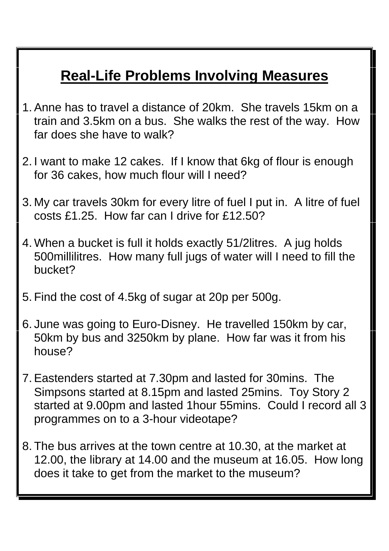## **Real-Life Problems Involving Measures**

- 1.Anne has to travel a distance of 20km. She travels 15km on a train and 3.5km on a bus. She walks the rest of the way. How far does she have to walk?
- 2. I want to make 12 cakes. If I know that 6kg of flour is enough for 36 cakes, how much flour will I need?
- 3. My car travels 30km for every litre of fuel I put in. A litre of fuel costs £1.25. How far can I drive for £12.50?
- 4. When a bucket is full it holds exactly 51/2litres. A jug holds 500millilitres. How many full jugs of water will I need to fill the bucket?
- 5. Find the cost of 4.5kg of sugar at 20p per 500g.
- 6. June was going to Euro-Disney. He travelled 150km by car, 50km by bus and 3250km by plane. How far was it from his house?
- 7.Eastenders started at 7.30pm and lasted for 30mins. The Simpsons started at 8.15pm and lasted 25mins. Toy Story 2 started at 9.00pm and lasted 1hour 55mins. Could I record all 3 programmes on to a 3-hour videotape?
- 8. The bus arrives at the town centre at 10.30, at the market at 12.00, the library at 14.00 and the museum at 16.05. How long does it take to get from the market to the museum?